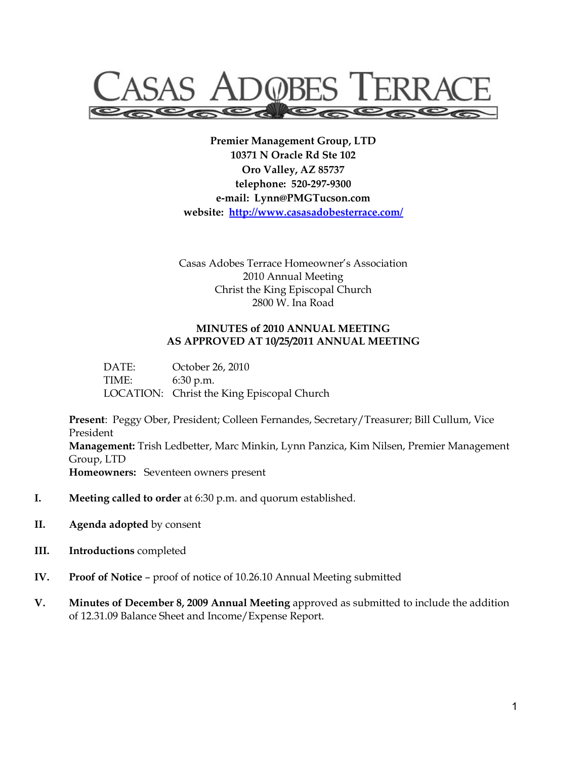

**Premier Management Group, LTD 10371 N Oracle Rd Ste 102 Oro Valley, AZ 85737 telephone: 520-297-9300 e-mail: Lynn@PMGTucson.com website: http://www.casasadobesterrace.com/**

Casas Adobes Terrace Homeowner's Association 2010 Annual Meeting Christ the King Episcopal Church 2800 W. Ina Road

#### **MINUTES of 2010 ANNUAL MEETING AS APPROVED AT 10/25/2011 ANNUAL MEETING**

 DATE: October 26, 2010 TIME: 6:30 p.m. LOCATION: Christ the King Episcopal Church

**Present**: Peggy Ober, President; Colleen Fernandes, Secretary/Treasurer; Bill Cullum, Vice President **Management:** Trish Ledbetter, Marc Minkin, Lynn Panzica, Kim Nilsen, Premier Management Group, LTD **Homeowners:** Seventeen owners present

- **I. Meeting called to order** at 6:30 p.m. and quorum established.
- **II. Agenda adopted** by consent
- **III. Introductions** completed
- **IV. Proof of Notice** proof of notice of 10.26.10 Annual Meeting submitted
- **V. Minutes of December 8, 2009 Annual Meeting** approved as submitted to include the addition of 12.31.09 Balance Sheet and Income/Expense Report.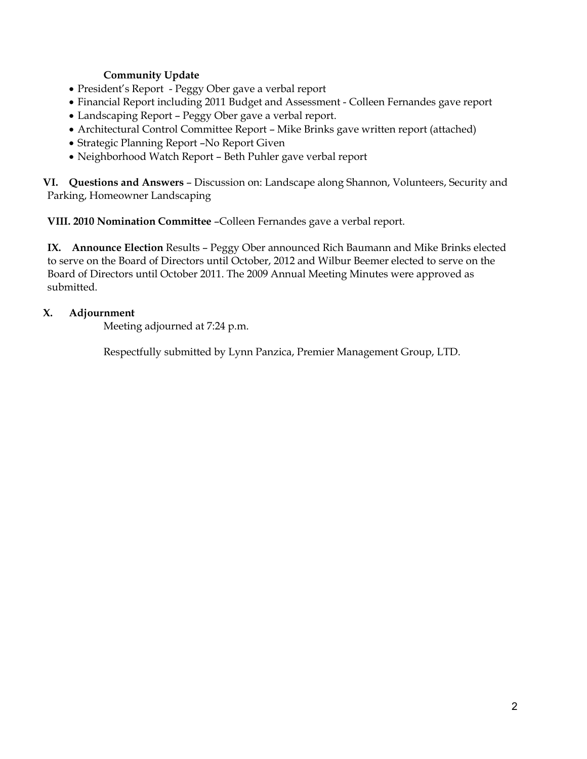### **Community Update**

- President's Report Peggy Ober gave a verbal report
- Financial Report including 2011 Budget and Assessment Colleen Fernandes gave report
- Landscaping Report Peggy Ober gave a verbal report.
- Architectural Control Committee Report Mike Brinks gave written report (attached)
- Strategic Planning Report –No Report Given
- Neighborhood Watch Report Beth Puhler gave verbal report

**VI. Questions and Answers** – Discussion on: Landscape along Shannon, Volunteers, Security and Parking, Homeowner Landscaping

**VIII. 2010 Nomination Committee** –Colleen Fernandes gave a verbal report.

**IX. Announce Election** Results – Peggy Ober announced Rich Baumann and Mike Brinks elected to serve on the Board of Directors until October, 2012 and Wilbur Beemer elected to serve on the Board of Directors until October 2011. The 2009 Annual Meeting Minutes were approved as submitted.

### **X. Adjournment**

Meeting adjourned at 7:24 p.m.

Respectfully submitted by Lynn Panzica, Premier Management Group, LTD.